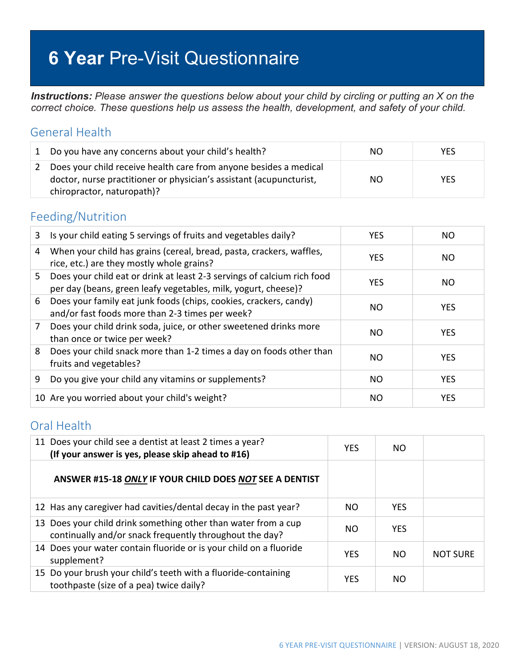# **6 Year** Pre-Visit Questionnaire

*Instructions: Please answer the questions below about your child by circling or putting an X on the correct choice. These questions help us assess the health, development, and safety of your child.*

#### General Health

|               | 1 Do you have any concerns about your child's health?                                                                                                                  | NO. | YES.       |
|---------------|------------------------------------------------------------------------------------------------------------------------------------------------------------------------|-----|------------|
| $\mathcal{L}$ | Does your child receive health care from anyone besides a medical<br>doctor, nurse practitioner or physician's assistant (acupuncturist,<br>chiropractor, naturopath)? | NO. | <b>YES</b> |

#### Feeding/Nutrition

| 3              | Is your child eating 5 servings of fruits and vegetables daily?                                                                           | <b>YES</b> | NO.        |
|----------------|-------------------------------------------------------------------------------------------------------------------------------------------|------------|------------|
| 4              | When your child has grains (cereal, bread, pasta, crackers, waffles,<br>rice, etc.) are they mostly whole grains?                         | <b>YES</b> | NO.        |
| 5.             | Does your child eat or drink at least 2-3 servings of calcium rich food<br>per day (beans, green leafy vegetables, milk, yogurt, cheese)? | <b>YES</b> | NO.        |
| 6              | Does your family eat junk foods (chips, cookies, crackers, candy)<br>and/or fast foods more than 2-3 times per week?                      | NO.        | <b>YES</b> |
| $\overline{7}$ | Does your child drink soda, juice, or other sweetened drinks more<br>than once or twice per week?                                         | NO.        | <b>YES</b> |
| 8              | Does your child snack more than 1-2 times a day on foods other than<br>fruits and vegetables?                                             | NO         | <b>YES</b> |
| 9              | Do you give your child any vitamins or supplements?                                                                                       | NO.        | <b>YES</b> |
|                | 10 Are you worried about your child's weight?                                                                                             | NO.        | <b>YES</b> |

#### Oral Health

| 11 Does your child see a dentist at least 2 times a year?<br>(If your answer is yes, please skip ahead to #16)            | <b>YES</b> | NO.        |                 |
|---------------------------------------------------------------------------------------------------------------------------|------------|------------|-----------------|
| ANSWER #15-18 ONLY IF YOUR CHILD DOES NOT SEE A DENTIST                                                                   |            |            |                 |
| 12 Has any caregiver had cavities/dental decay in the past year?                                                          | NO.        | <b>YES</b> |                 |
| 13 Does your child drink something other than water from a cup<br>continually and/or snack frequently throughout the day? | NO.        | <b>YES</b> |                 |
| 14 Does your water contain fluoride or is your child on a fluoride<br>supplement?                                         | <b>YES</b> | NO.        | <b>NOT SURE</b> |
| 15 Do your brush your child's teeth with a fluoride-containing<br>toothpaste (size of a pea) twice daily?                 | <b>YES</b> | NO.        |                 |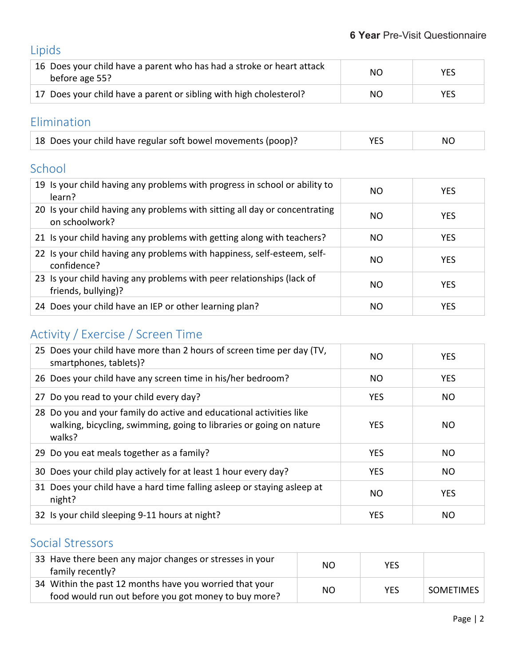# Lipids

| 16 Does your child have a parent who has had a stroke or heart attack<br>before age 55? | NO. | <b>YES</b> |
|-----------------------------------------------------------------------------------------|-----|------------|
| 17 Does your child have a parent or sibling with high cholesterol?                      | NO. | <b>YES</b> |

#### Elimination

| 18 Does your child have regular soft bowel movements (poop)? | YES | NO |
|--------------------------------------------------------------|-----|----|
|--------------------------------------------------------------|-----|----|

#### School

| 19 Is your child having any problems with progress in school or ability to<br>learn?         | NO  | <b>YES</b> |
|----------------------------------------------------------------------------------------------|-----|------------|
| 20 Is your child having any problems with sitting all day or concentrating<br>on schoolwork? | NO  | <b>YES</b> |
| 21 Is your child having any problems with getting along with teachers?                       | NO. | <b>YES</b> |
| 22 Is your child having any problems with happiness, self-esteem, self-<br>confidence?       | NO. | <b>YES</b> |
| 23 Is your child having any problems with peer relationships (lack of<br>friends, bullying)? | NO. | <b>YES</b> |
| 24 Does your child have an IEP or other learning plan?                                       | NO  | <b>YES</b> |

## Activity / Exercise / Screen Time

| 25 Does your child have more than 2 hours of screen time per day (TV,<br>smartphones, tablets)?                                                      | NO.        | <b>YES</b>     |
|------------------------------------------------------------------------------------------------------------------------------------------------------|------------|----------------|
| 26 Does your child have any screen time in his/her bedroom?                                                                                          | NO.        | <b>YES</b>     |
| 27 Do you read to your child every day?                                                                                                              | <b>YES</b> | NO.            |
| 28 Do you and your family do active and educational activities like<br>walking, bicycling, swimming, going to libraries or going on nature<br>walks? | <b>YES</b> | NO.            |
| 29 Do you eat meals together as a family?                                                                                                            | <b>YES</b> | NO.            |
| 30 Does your child play actively for at least 1 hour every day?                                                                                      | <b>YES</b> | N <sub>O</sub> |
| 31 Does your child have a hard time falling asleep or staying asleep at<br>night?                                                                    | NO         | <b>YES</b>     |
| 32 Is your child sleeping 9-11 hours at night?                                                                                                       | <b>YES</b> | NO             |

#### Social Stressors

| 33 Have there been any major changes or stresses in your<br>family recently?                                    | NO. | YES        |                  |
|-----------------------------------------------------------------------------------------------------------------|-----|------------|------------------|
| 34 Within the past 12 months have you worried that your<br>food would run out before you got money to buy more? | NO. | <b>YES</b> | <b>SOMETIMES</b> |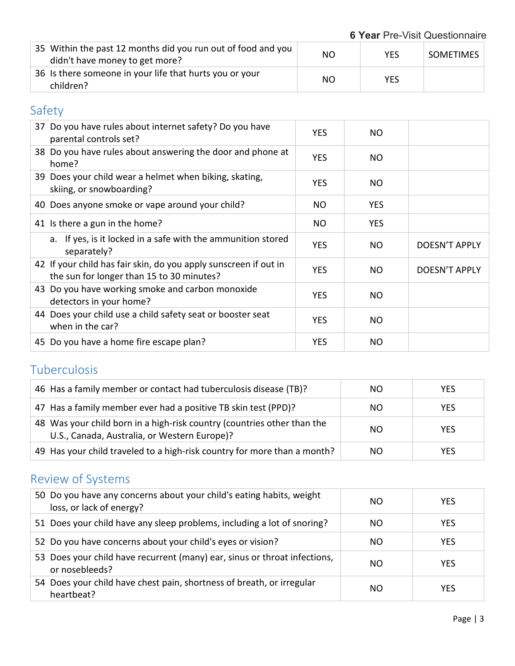**6 Year** Pre-Visit Questionnaire

| 35 Within the past 12 months did you run out of food and you<br>didn't have money to get more? | NO  | <b>YES</b> | <b>SOMETIMES</b> |
|------------------------------------------------------------------------------------------------|-----|------------|------------------|
| 36 Is there someone in your life that hurts you or your<br>children?                           | NO. | YES.       |                  |

## Safety

| 37 Do you have rules about internet safety? Do you have<br>parental controls set?                             | <b>YES</b> | NO.        |                      |
|---------------------------------------------------------------------------------------------------------------|------------|------------|----------------------|
| 38 Do you have rules about answering the door and phone at<br>home?                                           | <b>YES</b> | NO.        |                      |
| 39 Does your child wear a helmet when biking, skating,<br>skiing, or snowboarding?                            | <b>YES</b> | NO.        |                      |
| 40 Does anyone smoke or vape around your child?                                                               | <b>NO</b>  | <b>YES</b> |                      |
| 41 Is there a gun in the home?                                                                                | NO.        | <b>YES</b> |                      |
| a. If yes, is it locked in a safe with the ammunition stored<br>separately?                                   | <b>YES</b> | NO.        | <b>DOESN'T APPLY</b> |
| 42 If your child has fair skin, do you apply sunscreen if out in<br>the sun for longer than 15 to 30 minutes? | <b>YES</b> | NO.        | <b>DOESN'T APPLY</b> |
| 43 Do you have working smoke and carbon monoxide<br>detectors in your home?                                   | <b>YES</b> | NO.        |                      |
| 44 Does your child use a child safety seat or booster seat<br>when in the car?                                | <b>YES</b> | NO.        |                      |
| 45 Do you have a home fire escape plan?                                                                       | <b>YES</b> | NO.        |                      |
|                                                                                                               |            |            |                      |

### Tuberculosis

| 46 Has a family member or contact had tuberculosis disease (TB)?                                                        | NO.           | <b>YES</b> |
|-------------------------------------------------------------------------------------------------------------------------|---------------|------------|
| 47 Has a family member ever had a positive TB skin test (PPD)?                                                          | NO.           | <b>YES</b> |
| 48 Was your child born in a high-risk country (countries other than the<br>U.S., Canada, Australia, or Western Europe)? | <sub>NO</sub> | <b>YES</b> |
| 49 Has your child traveled to a high-risk country for more than a month?                                                | NO.           | <b>YES</b> |

# Review of Systems

| 50 Do you have any concerns about your child's eating habits, weight<br>loss, or lack of energy? | NO. | <b>YES</b> |
|--------------------------------------------------------------------------------------------------|-----|------------|
| 51 Does your child have any sleep problems, including a lot of snoring?                          | NO. | <b>YES</b> |
| 52 Do you have concerns about your child's eyes or vision?                                       | NO. | <b>YES</b> |
| 53 Does your child have recurrent (many) ear, sinus or throat infections,<br>or nosebleeds?      | NO. | <b>YES</b> |
| 54 Does your child have chest pain, shortness of breath, or irregular<br>heartbeat?              | NO. | <b>YES</b> |